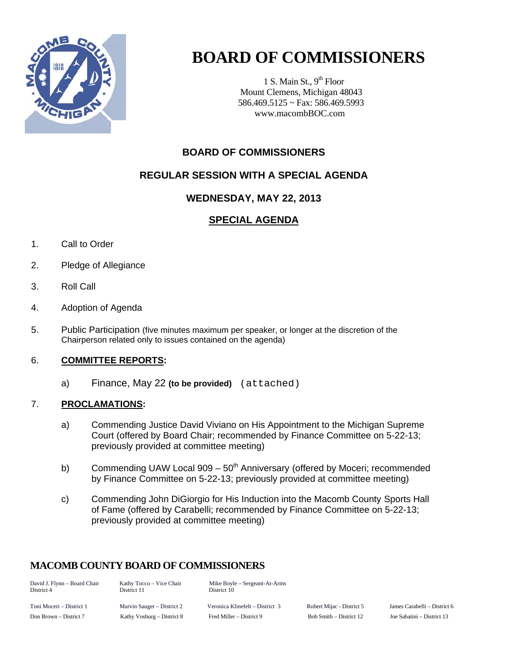

# **BOARD OF COMMISSIONERS**

1 S. Main St.,  $9<sup>th</sup>$  Floor Mount Clemens, Michigan 48043 586.469.5125 ~ Fax: 586.469.5993 www.macombBOC.com

# **BOARD OF COMMISSIONERS**

## **REGULAR SESSION WITH A SPECIAL AGENDA**

#### **WEDNESDAY, MAY 22, 2013**

# **SPECIAL AGENDA**

- 1. Call to Order
- 2. Pledge of Allegiance
- 3. Roll Call
- 4. Adoption of Agenda
- 5. Public Participation (five minutes maximum per speaker, or longer at the discretion of the Chairperson related only to issues contained on the agenda)

#### 6. **COMMITTEE REPORTS:**

a) Finance, May 22 **(to be provided)**  (attached)

#### 7. **PROCLAMATIONS:**

- a) Commending Justice David Viviano on His Appointment to the Michigan Supreme Court (offered by Board Chair; recommended by Finance Committee on 5-22-13; previously provided at committee meeting)
- b) Commending UAW Local  $909 50<sup>th</sup>$  Anniversary (offered by Moceri; recommended by Finance Committee on 5-22-13; previously provided at committee meeting)
- c) Commending John DiGiorgio for His Induction into the Macomb County Sports Hall of Fame (offered by Carabelli; recommended by Finance Committee on 5-22-13; previously provided at committee meeting)

## **MACOMB COUNTY BOARD OF COMMISSIONERS**

| David J. Flynn - Board Chair<br>District 4 | Kathy Tocco – Vice Chair<br>District 11 | Mike Boyle – Sergeant-At-Arms<br>District 10 |                           |                            |
|--------------------------------------------|-----------------------------------------|----------------------------------------------|---------------------------|----------------------------|
| Toni Moceri – District 1                   | Marvin Sauger – District 2              | Veronica Klinefelt – District 3              | Robert Mijac - District 5 | James Carabelli – District |
| Don Brown – District 7                     | Kathy Vosburg – District 8              | Fred Miller – District 9                     | Bob Smith – District 12   | Joe Sabatini – District 13 |

1 Mijac – District 5 Marvin Sames Carabelli – District 6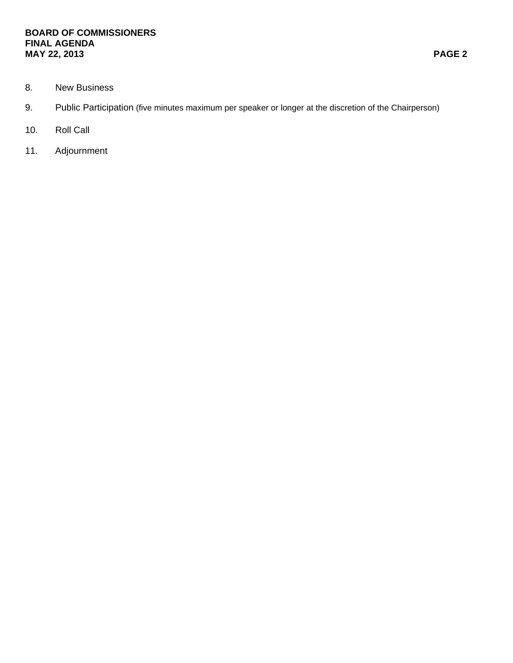#### **BOARD OF COMMISSIONERS FINAL AGENDA MAY 22, 2013 PAGE 2**

- 8. New Business
- 9. Public Participation (five minutes maximum per speaker or longer at the discretion of the Chairperson)
- 10. Roll Call
- 11. Adjournment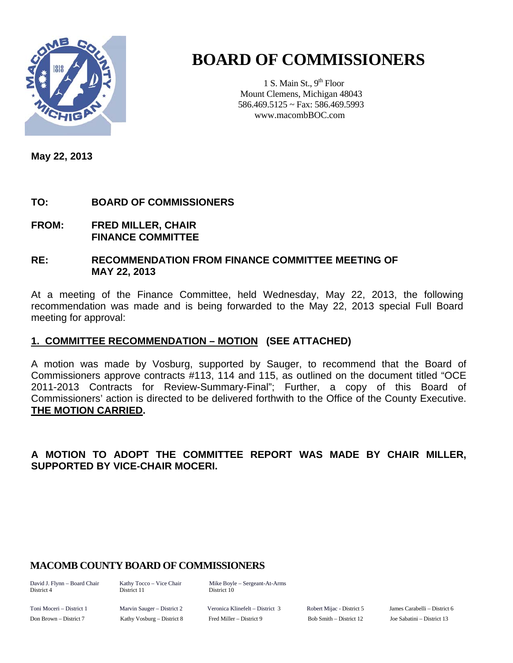

# **BOARD OF COMMISSIONERS**

1 S. Main St.,  $9<sup>th</sup>$  Floor Mount Clemens, Michigan 48043 586.469.5125 ~ Fax: 586.469.5993 www.macombBOC.com

**May 22, 2013** 

# **TO: BOARD OF COMMISSIONERS**

**FROM: FRED MILLER, CHAIR FINANCE COMMITTEE** 

#### **RE: RECOMMENDATION FROM FINANCE COMMITTEE MEETING OF MAY 22, 2013**

At a meeting of the Finance Committee, held Wednesday, May 22, 2013, the following recommendation was made and is being forwarded to the May 22, 2013 special Full Board meeting for approval:

## **1. COMMITTEE RECOMMENDATION – MOTION (SEE ATTACHED)**

A motion was made by Vosburg, supported by Sauger, to recommend that the Board of Commissioners approve contracts #113, 114 and 115, as outlined on the document titled "OCE 2011-2013 Contracts for Review-Summary-Final"; Further, a copy of this Board of Commissioners' action is directed to be delivered forthwith to the Office of the County Executive. **THE MOTION CARRIED.** 

## **A MOTION TO ADOPT THE COMMITTEE REPORT WAS MADE BY CHAIR MILLER, SUPPORTED BY VICE-CHAIR MOCERI.**

## **MACOMB COUNTY BOARD OF COMMISSIONERS**

District 4 District 11 District 10

David J. Flynn – Board Chair Kathy Tocco – Vice Chair Mike Boyle – Sergeant-At-Arms

Toni Moceri – District 1 Marvin Sauger – District 2 Veronica Klinefelt – District 3 Robert Mijac - District 5 James Carabelli – District 6 Don Brown – District 7 Kathy Vosburg – District 8 Fred Miller – District 9 Bob Smith – District 12 Joe Sabatini – District 13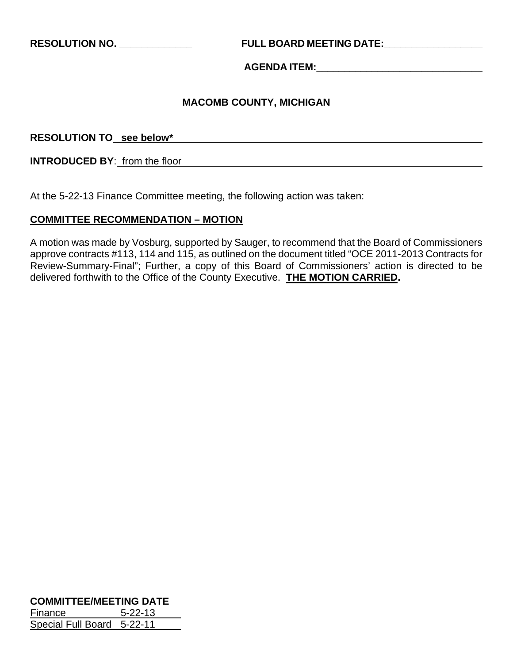**RESOLUTION NO. \_\_\_\_\_\_\_\_\_\_\_\_\_ FULL BOARD MEETING DATE:\_\_\_\_\_\_\_\_\_\_\_\_\_\_\_\_\_\_** 

**AGENDA ITEM:\_\_\_\_\_\_\_\_\_\_\_\_\_\_\_\_\_\_\_\_\_\_\_\_\_\_\_\_\_\_** 

#### **MACOMB COUNTY, MICHIGAN**

**RESOLUTION TO see below\***

**INTRODUCED BY**: from the floor

At the 5-22-13 Finance Committee meeting, the following action was taken:

#### **COMMITTEE RECOMMENDATION – MOTION**

A motion was made by Vosburg, supported by Sauger, to recommend that the Board of Commissioners approve contracts #113, 114 and 115, as outlined on the document titled "OCE 2011-2013 Contracts for Review-Summary-Final"; Further, a copy of this Board of Commissioners' action is directed to be delivered forthwith to the Office of the County Executive. **THE MOTION CARRIED.**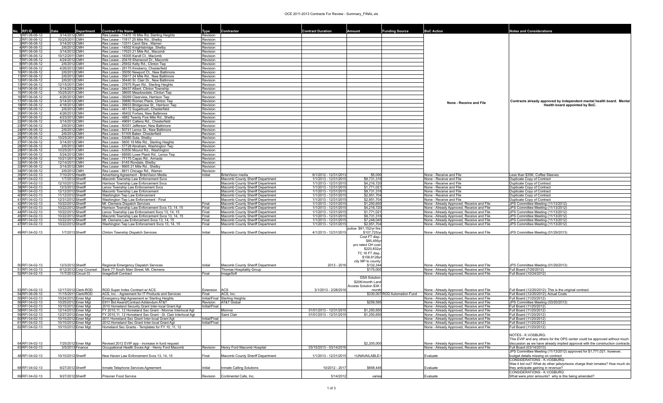#### OCE 2011-2013 Contracts For Review - Summary\_FINAL.xls

| <b>RFI ID</b>                      |                                          |                                              | <b>Contract File Name</b>                                                                   | Type                 | Contractor                                                           | <b>Contract Duration</b>                       |                             | <b>Funding Source</b>         | <b>BoC Action</b>                                                                      | <b>Notes and Considerations</b>                                                                         |
|------------------------------------|------------------------------------------|----------------------------------------------|---------------------------------------------------------------------------------------------|----------------------|----------------------------------------------------------------------|------------------------------------------------|-----------------------------|-------------------------------|----------------------------------------------------------------------------------------|---------------------------------------------------------------------------------------------------------|
| IRFI 06-06-12                      | 3/14/2012 CMH                            |                                              | Res Lease - 11475 19 Mile Rd, Sterling Heights                                              | Revision             |                                                                      |                                                |                             |                               |                                                                                        |                                                                                                         |
| 2RFI 06-06-12                      | 10/25/2011 CMH                           |                                              | Res Lease - 11817 25 Mile Rd., Shelby                                                       | Revision             |                                                                      |                                                |                             |                               |                                                                                        |                                                                                                         |
| 3RFI 06-06-12                      | 3/14/2012 CMH                            |                                              | Res Lease - 13311 Carol Stre., Warren                                                       | Revision             |                                                                      |                                                |                             |                               |                                                                                        |                                                                                                         |
| 4 RFI 06-06-12                     | 2/6/2012 CMH                             |                                              | Res Lease - 14502 Knightsbridge, Shelby                                                     | Revision             |                                                                      |                                                |                             |                               |                                                                                        |                                                                                                         |
| 5 RFI 06-06-12                     | 3/14/2012 CMH                            |                                              | Res Lease - 17623 21 Mile Rd., Macomb                                                       | Revision             |                                                                      |                                                |                             |                               |                                                                                        |                                                                                                         |
| 6 RFI 06-06-12                     | 10/12/2011 CMH                           |                                              | Res Lease - 18305 Kandt Ct., Macomb                                                         | Revision             |                                                                      |                                                |                             |                               |                                                                                        |                                                                                                         |
| 7 RFI 06-06-12<br>8 RFI 06-06-12   | 4/24/2012 CMH<br>2/6/2012 CMH            |                                              | Res Lease - 20419 Sherwood Dr., Macomb<br>Res Lease - 25932 Kelly Rd., Clinton Twp          | Revision<br>Revision |                                                                      |                                                |                             |                               |                                                                                        |                                                                                                         |
| 9RFI 06-06-12                      | 4/26/2012 CMH                            |                                              | Res Lease - 28175 Kinsberry, Chesterfield                                                   | Revision             |                                                                      |                                                |                             |                               |                                                                                        |                                                                                                         |
| 10 RFI 06-06-12                    | 2/6/2012 CMH                             |                                              | Res Lease - 35050 Newport Ct., New Baltimore                                                | Revision             |                                                                      |                                                |                             |                               |                                                                                        |                                                                                                         |
| 11 RFI 06-06-12                    | 2/6/2012 CMH                             |                                              | Res Lease - 35917 24 Mile Rd., New Baltimore                                                | Revision             |                                                                      |                                                |                             |                               |                                                                                        |                                                                                                         |
| 12 RFI 06-06-12                    | 2/6/2012 CMH                             |                                              | Res Lease - 36440 St. Clair Dr., New Baltimore                                              | Revision             |                                                                      |                                                |                             |                               |                                                                                        |                                                                                                         |
| 13 RFI 06-06-12                    | 12/15/2011 CMH                           |                                              | Res Lease - 37875 Ryan Rd., Sterling Heights                                                | Revision             |                                                                      |                                                |                             |                               |                                                                                        |                                                                                                         |
| 14 RFI 06-06-12                    | 3/14/2012 CMH                            |                                              | Res Lease - 38437 Albert, Clinton Township                                                  | Revision             |                                                                      |                                                |                             |                               |                                                                                        |                                                                                                         |
| 15 RFI 06-06-12                    | 10/25/2011 CMH                           |                                              | Res Lease - 38605 Meadowdale, Clinton Twp                                                   | Revision             |                                                                      |                                                |                             |                               |                                                                                        |                                                                                                         |
| 16 RFI 06-06-12                    | 4/26/2012 CMH                            |                                              | Res Lease - 39269 Clearview, Harrison Twp                                                   | Revision             |                                                                      |                                                |                             |                               |                                                                                        |                                                                                                         |
| 17 RFI 06-06-12<br>18 RFI 06-06-12 | 3/14/2012 CMH<br>4/18/2012 CMH           |                                              | Res Lease - 39880 Romeo Plank, Clinton Twp                                                  | Revision<br>Revision |                                                                      |                                                |                             |                               | None - Receive and File                                                                | Contracts already approved by independent mental health board. Mental<br>Health board appointed by BoC. |
| 19 RFI 06-06-12                    | 2/6/2012 CMH                             |                                              | Res Lease - 39933 Bridgeview St., Harrison Twp<br>Res Lease - 48172 Sugarbush, Chesterfield | Revision             |                                                                      |                                                |                             |                               |                                                                                        |                                                                                                         |
| 20 RFI 06-06-12                    | 4/26/2012 CMH                            |                                              | Res Lease - 48402 Forbes, New Baltimore                                                     | Revision             |                                                                      |                                                |                             |                               |                                                                                        |                                                                                                         |
| 21 RFI 06-06-12                    | 4/23/2012 CMH                            |                                              | Res Lease - 4882 Twenty Five Mile Rd., Shelby                                               | Revision             |                                                                      |                                                |                             |                               |                                                                                        |                                                                                                         |
| 22 RFI 06-06-12                    | 3/14/2012 CMH                            |                                              | Res Lease - 49691 Callens Rd., Chesterfield                                                 | Revision             |                                                                      |                                                |                             |                               |                                                                                        |                                                                                                         |
| 23 RFI 06-06-12                    | 2/6/2012 CMH                             |                                              | Res Lease - 50351 Jefferson, New Baltimore                                                  | <b>Revision</b>      |                                                                      |                                                |                             |                               |                                                                                        |                                                                                                         |
| 24 RFI 06-06-12                    | 2/6/2012 CMH                             |                                              | Res Lease - 50741 Lenox St., New Baltimore                                                  | Revision             |                                                                      |                                                |                             |                               |                                                                                        |                                                                                                         |
| 25 RFI 06-06-12                    | 2/6/2012 CMH                             |                                              | Res Lease - 51105 Baker, Chesterfield                                                       | Revision             |                                                                      |                                                |                             |                               |                                                                                        |                                                                                                         |
| 26 RFI 06-06-12                    | 10/25/2011 CMH                           |                                              | Res Lease - 53080 Sula, Shelby                                                              | Revision             |                                                                      |                                                |                             |                               |                                                                                        |                                                                                                         |
| 27 RFI 06-06-12                    | 3/14/2012 CMH                            |                                              | Res Lease - 5600 19 Mile Rd., Sterling Heights                                              | Revision             |                                                                      |                                                |                             |                               |                                                                                        |                                                                                                         |
| 28 RFI 06-06-12<br>29 RFI 06-06-12 | 2/6/2012 CMH<br>10/25/2011 CMH           |                                              | Res Lease - 57728 Abraham, Washington Twp<br>Res Lease - 63550 Mound Rd., Washington        | Revision             |                                                                      |                                                |                             |                               |                                                                                        |                                                                                                         |
| 30 RFI 06-06-12                    | 5/24/2012 CMH                            |                                              | Res Lease - 68560 Lowe Plank Rd., Lenox Twp                                                 | Revision<br>Revision |                                                                      |                                                |                             |                               |                                                                                        |                                                                                                         |
| 31 RFI 06-06-12                    | 10/21/2011 CMH                           |                                              | Res Lease - 77175 Capac Rd., Armada                                                         | Revision             |                                                                      |                                                |                             |                               |                                                                                        |                                                                                                         |
| 32 RFI 06-06-12                    | 12/14/2011 CMH                           |                                              | Res Lease - 8145 Rondale, Shelby                                                            | Revision             |                                                                      |                                                |                             |                               |                                                                                        |                                                                                                         |
| 33 RFI 06-06-12                    | 3/14/2012 CMH                            |                                              | Res Lease - 8665 21 Mile Rd., Shelby                                                        | Revision             |                                                                      |                                                |                             |                               |                                                                                        |                                                                                                         |
| 34 RFI 06-06-12                    | 2/6/2012 CMH                             |                                              | Res Lease - 8811 Chicago Rd., Warren                                                        | Revision             |                                                                      |                                                |                             |                               |                                                                                        |                                                                                                         |
| 35 RFI 04-02-13                    | 7/10/2012 Health                         |                                              | Advertising Agreement - BriteVision Media                                                   | nitial               | <b>IriteVision</b> media                                             | 8/1/2012 - 12/31/2013                          | \$5,000                     |                               | None - Receive and File                                                                | ess than \$35K; Coffee Sleeves                                                                          |
| 36 RFI 04-02-13                    | 1/7/2012 Sheriff                         |                                              | Macomb Township Law Enforcement Svcs                                                        |                      | Macomb County Sheriff Department                                     | 1/1/2013 - 12/31/2015                          | \$9,731,316                 |                               | None - Receive and File                                                                | <b>Duplicate Copy of Contract</b>                                                                       |
| 37 RFI 04-02-13                    | 12/10/2012 Sheriff                       |                                              | Harrison Township Law Enforcement Svcs                                                      |                      | Macomb County Sheriff Department                                     | 1/1/2013 - 12/31/2015                          | \$4,216,720                 |                               | None - Receive and File                                                                | Duplicate Copy of Contract                                                                              |
| 38 RFI 04-02-13                    | 12/3/2012 Sheriff                        |                                              | enox Township Law Enforcement Svcs                                                          |                      | Macomb County Sheriff Department                                     | 1/1/2013 - 12/31/2015                          | \$1,771,021                 |                               | None - Receive and File                                                                | Duplicate Copy of Contract                                                                              |
| 39 RFI 04-02-13                    | 12/12/2012 Sheriff                       |                                              | Macomb Township Law Enforcement                                                             |                      | Macomb County Sheriff Department                                     | 1/1/2013 - 12/31/2015                          | \$9,731,316<br>\$2,951,704  |                               | None - Receive and File                                                                | Duplicate Copy of Contract<br>Duplicate Copy of Contract                                                |
| 40 RFI 04-02-13<br>41 RFI 04-02-13 | 11/12/2012 Sheriff<br>12/31/2012 Sheriff |                                              | Washington Twp Law Enforcement<br>Vashington Twp Law Enforcement - Final                    |                      | Macomb County Sheriff Department<br>Macomb County Sheriff Department | 1/1/2013 - 12/31/2015<br>1/1/2013 - 12/31/2015 | \$2,951,704                 |                               | None - Receive and File<br>None - Receive and File                                     | Duplicate Copy of Contract                                                                              |
| 42 RFI 04-02-13                    | 10/22/2012 Sheriff                       |                                              | <b>Mt. Clemens Dispatch Services</b>                                                        | Final                | Macomb County Sheriff Department                                     | 1/1/2013 - 12/31/2015                          | \$1,250,650                 |                               | None - Already Approved, Receive and File                                              | JPS Committee Meeting (11/13/2012)                                                                      |
| 43 RFI 04-02-13                    | 10/22/2012 Sheriff                       |                                              | Harrison Township Law Enforcement Svcs 13, 14, 15                                           | Final                | Macomb County Sheriff Department                                     | 1/1/2013 - 12/31/2015                          | \$4,216,720                 |                               | None - Already Approved, Receive and File                                              | JPS Committee Meeting (11/13/2012)                                                                      |
| 44 RFI 04-02-13                    | 10/22/2012 Sheriff                       |                                              | enox Township Law Enforcement Svcs 13, 14, 15                                               | Final                | Macomb County Sheriff Department                                     | 1/1/2013 - 12/31/2015                          | \$1,771,021                 |                               | None - Already Approved, Receive and File                                              | JPS Committee Meeting (11/13/2012)                                                                      |
| 45 RFI 04-02-13                    | 10/22/2012 Sheriff                       |                                              | Macomb Township Law Enforcement Svcs 13, 14, 15                                             | Final                | Macomb County Sheriff Department                                     | 1/1/2013 - 12/31/2015                          | \$9,731,316                 |                               | None - Already Approved, Receive and File                                              | JPS Committee Meeting (11/13/2012)                                                                      |
| 46 RFI 04-02-13                    | 10/22/2012 Sheriff                       |                                              | Mt. Clemens Law Enforcement Svcs 13, 14, 15                                                 | Final                | Macomb County Sheriff Department                                     | 1/1/2013 - 12/31/2015                          | \$7,248,045                 |                               | None - Already Approved, Receive and File                                              | JPS Committee Meeting (11/13/2012)                                                                      |
| 47 RFI 04-02-13                    | 10/22/2012 Sheriff                       |                                              | Washington Twp Law Enforcement Svcs 13, 14, 15                                              | Final                | Macomb County Sheriff Department                                     | 1/1/2013 - 12/31/2015                          | \$2,951,704                 |                               | None - Already Approved, Receive and File                                              | JPS Committee Meeting (11/13/2012)                                                                      |
|                                    |                                          |                                              |                                                                                             |                      |                                                                      |                                                | police: \$91,152/yr fire:   |                               |                                                                                        |                                                                                                         |
| 49 RFI 04-02-13                    | 1/7/2013 Sheriff                         |                                              | Clinton Township Dispatch Services                                                          | Initial              | Macomb County Sheriff Department                                     | 4/1/2013 - 12/31/2015                          | \$107,725/y                 |                               | None - Already Approved, Receive and File                                              | JPS Committee Meeting (01/29/2013)                                                                      |
|                                    |                                          |                                              |                                                                                             |                      |                                                                      |                                                | Cost FT disp.<br>\$85,456yr |                               |                                                                                        |                                                                                                         |
|                                    |                                          |                                              |                                                                                             |                      |                                                                      |                                                | pro rated OH cost:          |                               |                                                                                        |                                                                                                         |
|                                    |                                          |                                              |                                                                                             |                      |                                                                      |                                                | \$220,832y                  |                               |                                                                                        |                                                                                                         |
|                                    |                                          |                                              |                                                                                             |                      |                                                                      |                                                | TC 16 FT disp.              |                               |                                                                                        |                                                                                                         |
|                                    |                                          |                                              |                                                                                             |                      |                                                                      |                                                | \$158,8128yr                |                               |                                                                                        |                                                                                                         |
|                                    |                                          |                                              |                                                                                             |                      |                                                                      |                                                | city MP to county           |                               |                                                                                        |                                                                                                         |
| 50 RFI 04-02-13                    | 12/3/2012 Sheriff                        |                                              | Regional Emergency Dispatch Services                                                        | Initial              | Macomb County Sheriff Department                                     | 2013 - 2016                                    | \$132,344                   |                               | None - Already Approved, Receive and File                                              | JPS Committee Meeting (01/29/2013)                                                                      |
| 51 RFI 04-02-13                    |                                          | 6/12/2012 Corp Counsel                       | Bank 77 South Main Street, Mt. Clemens                                                      |                      | Thomas Hospitality Group                                             |                                                | \$175,000                   |                               | None - Already Approved, Receive and File                                              | Full Board (7/26/2012)                                                                                  |
| 52 RFI 04-02-13                    |                                          | 11/7/2012 Circuit Ct                         | ImageSoft Contract                                                                          | Final                | ImageSoft                                                            |                                                |                             |                               | None - Already Approved, Receive and File                                              | Full Board (10/24/2012)                                                                                 |
|                                    |                                          |                                              |                                                                                             |                      |                                                                      |                                                | <b>GSA Solution</b>         |                               |                                                                                        |                                                                                                         |
|                                    |                                          |                                              |                                                                                             |                      |                                                                      |                                                | \$20K/month Land            |                               |                                                                                        |                                                                                                         |
|                                    |                                          |                                              |                                                                                             |                      |                                                                      |                                                | <b>Access Solution \$3K</b> |                               |                                                                                        |                                                                                                         |
| 53 RFI 04-02-13                    |                                          | 12/17/2012 Clerk-ROD<br>11/15/2011 Clerk/ROD | ROD Super Index Contract w/ ACS<br>ACS, Inc. - Agreement for IT Products and Services       | Extension            | ACS                                                                  | 3/1/2013 - 2/28/2016                           | month                       |                               | None - Already Approved, Receive and File                                              | Full Board (12/20/2012); This is the original contract                                                  |
| 54 RFI 06-06-12<br>55 RFI 04-02-13 |                                          | 10/24/2012 Emer Mat                          | Emergency Mgt Agreement w/ Sterling Heights                                                 | Final                | ACS, Inc.<br>Initial/Final Sterling Heights                          |                                                |                             | \$330,007 ROD Automation Fund | None - Already Approved, Receive and File<br>None - Already Approved, Receive and File | Full Board (12/20/2012); Actual Costs<br>Full Board (11/20/2012)                                        |
| 56 RFI 04-02-13                    | 10/25/2012 Emer Mgt                      |                                              | E911 Bid Award/Contract Addendum AT&T                                                       | Revision             | <b>AT&amp;T Global</b>                                               |                                                | \$259,595                   |                               | None - Already Approved, Receive and File                                              | JPS Committee Meeting (03/20/2013)                                                                      |
| 57 RFI 04-02-13                    |                                          | 10/15/2012 Emer Mgt                          | 2010 Homeland Security Grant Inter-local Grant Agt                                          | Initial/Final        |                                                                      |                                                |                             |                               | None - Already Approved, Receive and File                                              | Full Board (11/20/2012)                                                                                 |
| 58 RFI 04-02-13                    | 12/14/2012 Emer Mgt                      |                                              | FY 2010,11, 12 Homeland Sec Grant - Monroe Interlocal Agt                                   |                      | Monroe                                                               | 01/01/2013 - 12/31/2015                        | \$1,250,650                 |                               | None - Already Approved, Receive and File                                              | Full Board (11/20/2012)                                                                                 |
| 59 RFI 04-02-13                    |                                          | 12/27/2012 Emer Mgt                          | FY 2010,11, 12 Homeland Sec Grant - St. Clair Interlocal Agt                                |                      | Saint Clair                                                          | 01/01/2013 - 12/31/2015                        | \$1,250,650                 |                               | None - Already Approved, Receive and File                                              | Full Board (11/20/2012)                                                                                 |
| 60 RFI 04-02-13                    | 10/15/201                                | ≘mer Mqt                                     | 011 Homeland Sec Grant Inter-local Grant Ag                                                 | nıtıal/Fınal         |                                                                      |                                                |                             |                               | <u> None - Already Approved, Receive and File</u>                                      | -ull Board (11/20/2012                                                                                  |
| 61 RFI 04-02-13                    | 10/15/2012 Emer Mgt                      |                                              | 2012 Homeland Sec Grant Inter-local Grant Agt                                               | Initial/Final        |                                                                      |                                                |                             |                               | None - Already Approved, Receive and File                                              | Full Board (11/20/2012)                                                                                 |
| 62 RFI 04-02-13                    | 10/15/2012 Emer Mgt                      |                                              | Homeland Sec Grants - Templates for FY 10, 11, 12                                           |                      |                                                                      |                                                |                             |                               | None - Already Approved, Receive and File                                              | Full Board (11/20/2012)                                                                                 |
|                                    |                                          |                                              |                                                                                             |                      |                                                                      |                                                |                             |                               |                                                                                        |                                                                                                         |
|                                    |                                          |                                              |                                                                                             |                      |                                                                      |                                                |                             |                               |                                                                                        | NOTES - K.VOSBURG:                                                                                      |
|                                    |                                          |                                              |                                                                                             |                      |                                                                      |                                                |                             |                               |                                                                                        | This EVIP and any others for the OPS center could be approved without much                              |
| 64 RFI 04-02-13                    |                                          | 7/25/2012 Emer Mgt                           | Revised 2012 EVIP app - increase in fund request                                            |                      |                                                                      |                                                | \$2,205,000                 |                               | None - Already Approved, Receive and File                                              | discussion as we have already implied approval with the construction contracts                          |
| 63 RFI 04-02-13                    |                                          | 3/5/2013 Finance                             | Occupational Health Svces Agt - Henry Ford Macomb                                           | Revision             | Henry Ford Macomb Hospital                                           | 03/15/2013 - 03/14/2016                        |                             |                               | None - Already Approved, Receive and File                                              | Full Board (03/14/2013)<br>JPS Committee Meeting (11/13/2012) approved for \$1,771,021. however,        |
| 48 RFI 04-02-13                    | 10/15/2012 Sheriff                       |                                              | Vew Haven Law Enforcement Svcs 13, 14, 15                                                   | Final                | Macomb County Sheriff Department                                     | 1/1/2013 - 12/31/2015                          | <unavailable></unavailable> |                               | Evaluate                                                                               | budget details missing on contract                                                                      |
|                                    |                                          |                                              |                                                                                             |                      |                                                                      |                                                |                             |                               |                                                                                        | CONSIDERATIONS - K.VOSBURG:                                                                             |
|                                    |                                          |                                              |                                                                                             |                      |                                                                      |                                                |                             |                               |                                                                                        | Was it bid out? What do other jails/prisons charge their inmates? How much do                           |
| 68 RFI 04-02-13                    | 9/27/2012 Sheriff                        |                                              | nmate Telephone Services Agreement                                                          | Initial              | Inmate Calling Solutions                                             | 10/2012 - 2017                                 | \$668,446                   |                               | Evaluate                                                                               | they anticipate gaining in revenue?                                                                     |
|                                    |                                          |                                              |                                                                                             |                      |                                                                      |                                                |                             |                               |                                                                                        | CONSIDERATIONS - K.VOSBURG                                                                              |
| 69 RFI 04-02-13                    | 9/27/2012 Sheriff                        |                                              | Prisoner Food Service                                                                       |                      | Revision Continental Cafe, Inc.                                      | 5/14/2012                                      | varies                      |                               | Evaluate                                                                               | What were prior amounts? why is this being amended?                                                     |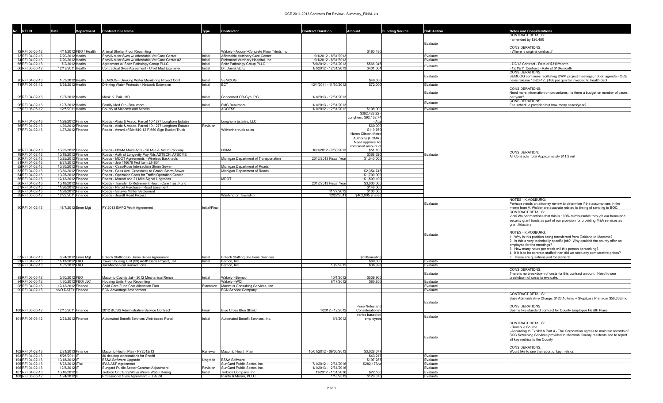#### OCE 2011-2013 Contracts For Review - Summary\_FINAL.xls

| No. RFI ID                           | <b>Department</b>                          | Contract File Name                                                                                            |               | Contractor                                                                   | <b>Contract Duration</b>                       |                                                                                      | <b>Funding Source</b> | <b>BoC Action</b>    | <b>Notes and Considerations</b>                                                                                                                          |
|--------------------------------------|--------------------------------------------|---------------------------------------------------------------------------------------------------------------|---------------|------------------------------------------------------------------------------|------------------------------------------------|--------------------------------------------------------------------------------------|-----------------------|----------------------|----------------------------------------------------------------------------------------------------------------------------------------------------------|
|                                      |                                            |                                                                                                               |               |                                                                              |                                                |                                                                                      |                       |                      | CONTRACT DETAILS<br>amended by \$26,480                                                                                                                  |
|                                      |                                            |                                                                                                               |               |                                                                              |                                                |                                                                                      |                       | Evaluate             |                                                                                                                                                          |
|                                      |                                            |                                                                                                               |               |                                                                              |                                                |                                                                                      |                       |                      | CONSIDERATIONS:                                                                                                                                          |
| 72 RFI 06-06-12<br>73 RFI 04-02-13   | 4/11/2012 F&O / Health<br>7/20/2012 Health | Animal Shelter Floor Repainting<br>Spay/Neuter Svcs w/ Affordable Vet Care Center                             | Initial       | Wakely->Axiom->Concrete Floor Trtmts Inc<br>Affordable Vetrinary Care Center | 9/1/2012 - 8/31/2013                           | \$180,480                                                                            |                       | Evaluate             | Where is original contract?                                                                                                                              |
| 74 RFI 04-02-13                      | 7/20/2012 Health                           | Spay/Neuter Sycs w/ Affordable Vet Care Center #2                                                             | Initial       | Richmond Vetrinary Hospital, Inc                                             | 9/1/2012 - 8/31/3013                           |                                                                                      |                       | Evaluate             |                                                                                                                                                          |
| 65 RFI 04-02-13                      | 7/2/2012 Health                            | Agreement w/ Spitz Pathology Group PLLC                                                                       | Initial       | Spitz Pathology Group PLLC                                                   | 7/9/2012 - 12/31/2013                          | \$566,045                                                                            |                       | Evaluate             | 7/2/12 Contract - Rate of \$31k/month                                                                                                                    |
| 66 RFI 06-06-12                      | 12/19/2011 Health                          | Contractual Svce Agreement - Chief Med Examiner                                                               | Initial       | Dr. Daniel Spitz                                                             | 1/1/2012 - 12/31/2013                          | \$401,064                                                                            |                       |                      | 12/19/11 Contract - Rate of \$16k/month<br>CONSIDERATIONS:                                                                                               |
|                                      |                                            |                                                                                                               |               |                                                                              |                                                |                                                                                      |                       | Evaluate             | SEMCOG continues facilitating DWM project meetings, not on agenda - OCE                                                                                  |
| 70 RFI 04-02-13                      | 10/3/2012 Health                           | SEMCOG - Drinking Water Monitoring Project Cont.                                                              | Initial       | <b>SEMCOG</b>                                                                |                                                | \$40,000                                                                             |                       |                      | news release 10-26-12, \$10k per quarter invoiced to health dept                                                                                         |
| 71 RFI 06-06-12                      | 5/24/2012 Health                           | Drinking Water Protection Network Extension                                                                   | Initial       | ECT                                                                          | 12/1/2011 - 11/30/2012                         | \$72,000                                                                             |                       | Evaluate             |                                                                                                                                                          |
|                                      |                                            |                                                                                                               |               |                                                                              |                                                |                                                                                      |                       | Evaluate             | <b>CONSIDERATIONS:</b><br>Need more information on procedures; Is there a budget on number of cases                                                      |
| 95 RFI 04-02-13                      | 12/7/2012 Health                           | Mook K. Paik, MD                                                                                              | Initial       | Concerned OB-Gyn, P.C.                                                       | 1/1/2013 - 12/31/2013                          |                                                                                      |                       |                      | per year?                                                                                                                                                |
|                                      |                                            |                                                                                                               |               |                                                                              |                                                |                                                                                      |                       | Evaluate             | CONSIDERATIONS:                                                                                                                                          |
| 96 RFI 04-02-13<br>97 RFI 06-06-12   | 12/7/2012 Health<br>12/5/2011 Health       | Family Med Ctr - Beaumont<br>County of Macomb and Access                                                      | Initial       | <b>FMC Beaumont</b><br><b>ACCESS</b>                                         | 1/1/2013 - 12/31/2013<br>1/1/2012 - 12/31/2012 | \$108,000                                                                            |                       | Evaluate             | Fee schedule provided but how many cases/year?                                                                                                           |
|                                      |                                            |                                                                                                               |               |                                                                              |                                                | \$362,428.22                                                                         |                       |                      |                                                                                                                                                          |
|                                      |                                            |                                                                                                               |               |                                                                              |                                                | Longhorn; \$92,162.74                                                                |                       |                      |                                                                                                                                                          |
| 75 RFI 04-02-13<br>76 RFI 04-02-13   | 11/29/2012 Finance<br>11/29/2012 Finance   | Roads - Aloia & Assoc. Parcel 10-1277 Longhorn Estates                                                        |               | onghorn Estates, LLC                                                         |                                                | - Atty<br>\$60,000                                                                   |                       |                      |                                                                                                                                                          |
| 77 RFI 04-02-13                      | 11/27/2012 Finance                         | Roads - Aloia & Assoc. Parcel 10-1277 Longhorn Estates<br>Roads - Award of Bid #40-12 F-650 Sign Bucket Truck | Revision      | Wolverine truck sales                                                        |                                                | \$119,769                                                                            |                       |                      |                                                                                                                                                          |
|                                      |                                            |                                                                                                               |               |                                                                              |                                                | Huron Clinton Metro                                                                  |                       |                      |                                                                                                                                                          |
|                                      |                                            |                                                                                                               |               |                                                                              |                                                | Authority (HCMA)                                                                     |                       |                      |                                                                                                                                                          |
|                                      |                                            |                                                                                                               |               |                                                                              |                                                | Need approval for<br>combined amount of                                              |                       |                      |                                                                                                                                                          |
| 78 RFI 04-02-13                      | 10/25/2012 Finance                         | Roads - HCMA Maint Agts - 26 Mile & Metro Parkway                                                             |               | HCMA                                                                         | 10/1/2012 - 9/30/201                           | \$51,100                                                                             |                       |                      |                                                                                                                                                          |
| 79 RFI 04-02-13                      | 10/19/2012 Finance                         | Roads - Auth of Longevity Pay Rds ADTECH, AFSCME                                                              |               |                                                                              |                                                | \$368,620                                                                            |                       | Evaluate             | CONSIDERATION:<br>All Contracts Total Approximately \$11.2 mil                                                                                           |
| 80 RFI 04-02-13                      | 10/25/2012 Finance                         | Roads - MDOT Agreements - Wireless Backhauls                                                                  |               | Michigan Department of Transportation                                        | 2012/2013 Fiscal Year                          | \$1,040,000                                                                          |                       |                      |                                                                                                                                                          |
| 81 RFI 04-02-13<br>82 RFI 04-02-13   | 9/27/2012 Finance<br>10/30/2012 Finance    | Roads - Job 116678 Fed Item JJ4851<br>Roads - Cass/Rose Intersection Storm Sewer                              |               | Michigan Department of Roads                                                 |                                                |                                                                                      |                       |                      |                                                                                                                                                          |
| 83 RFI 04-02-13                      | 10/30/2012 Finance                         | Roads - Cass Ave. Groesbeck to Gratiot Storm Sewer                                                            |               | Michigan Department of Roads                                                 |                                                | \$2,354,745                                                                          |                       |                      |                                                                                                                                                          |
| 84 RFI 04-02-13                      | 10/25/2012 Finance                         | Roads - Operation Costs for Traffic Operation Center                                                          |               |                                                                              |                                                | \$1,700,000                                                                          |                       |                      |                                                                                                                                                          |
| 85 RFI 04-02-13<br>86 RFI 04-02-13   | 12/12/2012 Finance<br>10/18/2012 Finance   | Roads - Mound and 21 Mile Signal Upgrades<br>Roads - Transfer to Retirement Health Care Trust Fund            |               | MDOT                                                                         | 2012/2013 Fiscal Year                          | \$1,509,100<br>\$3,000,000                                                           |                       |                      |                                                                                                                                                          |
| 87 RFI 04-02-13                      | 11/26/2012 Finance                         | Roads - Parcel Purchase - Road Easement                                                                       |               |                                                                              |                                                | \$148,000                                                                            |                       |                      |                                                                                                                                                          |
| 88 RFI 04-02-13                      | 11/28/2012 Finance                         | Roads - Satawa Matter Settlement                                                                              |               |                                                                              | 11/27/2012                                     | \$100,000                                                                            |                       |                      |                                                                                                                                                          |
| 89 RFI 06-06-12                      | 12/22/2011 Finance                         | Roads - Jewell Road Project                                                                                   |               | Washington Township                                                          | 12/22/2011                                     | \$462,905 shared                                                                     |                       |                      | NOTES - K.VOSBURG:                                                                                                                                       |
|                                      |                                            |                                                                                                               |               |                                                                              |                                                |                                                                                      |                       | Evaluate             | Perhaps needs an attorney review to determine if the assumptions in the                                                                                  |
| 90 RFI 04-02-13                      | 11/7/2012 Emer Mgt                         | FY 2013 EMPG Work Agreement                                                                                   | Initial/Final |                                                                              |                                                |                                                                                      |                       |                      | memo from V. Wolber are accurate related to timing of sending to BOC.                                                                                    |
|                                      |                                            |                                                                                                               |               |                                                                              |                                                |                                                                                      |                       |                      | CONTRACT DETAILS:                                                                                                                                        |
|                                      |                                            |                                                                                                               |               |                                                                              |                                                |                                                                                      |                       |                      | Vicki Wolber mentions that this is 100% reimbursable through our homeland<br>security grant funds as part of our provision for providing M&A services as |
|                                      |                                            |                                                                                                               |               |                                                                              |                                                |                                                                                      |                       |                      | grant fiduciary                                                                                                                                          |
|                                      |                                            |                                                                                                               |               |                                                                              |                                                |                                                                                      |                       |                      |                                                                                                                                                          |
|                                      |                                            |                                                                                                               |               |                                                                              |                                                |                                                                                      |                       | Evaluate             | NOTES - K.VOSBURG:<br>. Why is this position being transferred from Oakland to Macomb?                                                                   |
|                                      |                                            |                                                                                                               |               |                                                                              |                                                |                                                                                      |                       |                      | 2. Is this a very technically specific job? Why couldn't the county offer an                                                                             |
|                                      |                                            |                                                                                                               |               |                                                                              |                                                |                                                                                      |                       |                      | employee for the meetings?                                                                                                                               |
|                                      |                                            |                                                                                                               |               |                                                                              |                                                |                                                                                      |                       |                      | 3. How many hours per week will this person be working?<br>. If it is to be contract-staffed then did we seek any comparative prices?                    |
| 67 RFI 04-02-13                      | 8/24/2012 Emer Mgt                         | Entech Staffing Solutions Svces Agreement                                                                     | Initial       | <b>Entech Staffing Solutions Services</b>                                    |                                                | \$550/meeting                                                                        |                       |                      | . These are questions just for starters!                                                                                                                 |
| 91 RFI 04-02-13                      | 11/13/2012 F&O                             | Tower Housing Unit (59) Addt'l Beds Project, Jail                                                             | Initial       | Bernco, Inc.                                                                 |                                                | \$69,000                                                                             |                       | Evaluate             |                                                                                                                                                          |
| 92 RFI 04-02-13                      | 10/3/2012 F&O                              | Jail Mechanical Renovations                                                                                   |               | Bernco, Inc.                                                                 | 10/2/2012                                      | \$36.92                                                                              |                       | Evaluate             | CONSIDERATIONS:                                                                                                                                          |
|                                      |                                            |                                                                                                               |               |                                                                              |                                                |                                                                                      |                       | Evaluate             | There is no breakdown of costs for this contract amount. Need to see                                                                                     |
| 93 RFI 06-06-12                      | 5/30/2012 F&O                              | Macomb County Jail - 2012 Mechanical Renos                                                                    | Initial       | Wakely->Bernco                                                               | 10/1/2012                                      | \$539,900                                                                            |                       |                      | breakdown of costs to evaluate.                                                                                                                          |
| 94 RFI 06-06-12<br>98 RFI 04-02-13   | 4/30/2012 F&O/ JJC<br>12/12/2012 Finance   | Housing Units Floor Repainting                                                                                |               | Wakely->WCI                                                                  | 8/17/2012                                      | \$85,850                                                                             |                       | Evaluate             |                                                                                                                                                          |
| 99 RFI 04-02-13                      | <no date="">Finance</no>                   | Child Care Fund Cost Allocation Plan<br><b>BCN Advantage Amendment</b>                                        | Extension     | Maximus Consulting Services, Inc<br><b>BCN Service Company</b>               |                                                |                                                                                      |                       | Evaluate<br>Evaluate |                                                                                                                                                          |
|                                      |                                            |                                                                                                               |               |                                                                              |                                                |                                                                                      |                       |                      | CONTRACT DETAILS:                                                                                                                                        |
|                                      |                                            |                                                                                                               |               |                                                                              |                                                |                                                                                      |                       |                      | Base Administrative Charge: \$126,107/mo + Stop/Loss Premium \$58,333/mo                                                                                 |
|                                      |                                            |                                                                                                               |               |                                                                              |                                                | <see and<="" notes="" td=""><td></td><td>Evaluate</td><td>CONSIDERATIONS:</td></see> |                       | Evaluate             | CONSIDERATIONS:                                                                                                                                          |
| 100 RFI 06-06-12                     | 12/15/2011 Finance                         | 2012 BC/BS Administrative Service Contract                                                                    | <b>IFinal</b> | <b>Blue Cross Blue Shield</b>                                                | 1/2012 - 12/2012                               | Considerations>                                                                      |                       |                      | Seems like standard contract for County Employee Health Plans                                                                                            |
|                                      |                                            |                                                                                                               |               |                                                                              |                                                | varies based on                                                                      |                       | Evaluate             |                                                                                                                                                          |
| 101REL06-06-12                       | 2/21/2012 Finance                          | Automated Renefit Services Web-based Porta                                                                    |               | <b>Mutomated Renefit Services Inc.</b>                                       | 6/1/2012                                       | emnl                                                                                 |                       |                      | CONTRACT DETAILS                                                                                                                                         |
|                                      |                                            |                                                                                                               |               |                                                                              |                                                |                                                                                      |                       |                      | Revenue Source                                                                                                                                           |
|                                      |                                            |                                                                                                               |               |                                                                              |                                                |                                                                                      |                       |                      | According to Exhibit A Part 4 - The Corporation agrees to maintain records of                                                                            |
|                                      |                                            |                                                                                                               |               |                                                                              |                                                |                                                                                      |                       | Evaluate             | BCC Screening Services provided to Macomb County residents and to report<br>all key metrics to the County                                                |
|                                      |                                            |                                                                                                               |               |                                                                              |                                                |                                                                                      |                       |                      |                                                                                                                                                          |
|                                      |                                            |                                                                                                               |               |                                                                              |                                                |                                                                                      |                       |                      | CONSIDERATIONS:                                                                                                                                          |
| 102 RFI 04-02-13                     | 2/21/2013 Finance                          | Macomb Health Plan - FY2012/13                                                                                | Renewal       | Macomb Health Plan                                                           | 10/01/2012 - 09/30/2013                        | \$3,028,677                                                                          |                       |                      | Would like to see the report of key metrics                                                                                                              |
| 103 RFI 04-02-13<br>104 RFI 04-02-13 | 5/25/2011 IT<br>10/18/2012 IT              | 80 desktop workstations for Sheriff<br>3S&A Software Upgrade                                                  | Upgrade       | <b>BS&amp;A Software</b>                                                     |                                                | \$43,217<br>\$197,285                                                                |                       | Evaluate<br>Evaluate |                                                                                                                                                          |
| 105 RFI 04-02-13                     | 8/23/2012 IT/all                           | IFAS ASP Agreement                                                                                            |               | SunGard Public Sector, Inc.                                                  | 7/1/2012 - 12/31/2016                          | \$282,173/yr                                                                         |                       | Evaluate             |                                                                                                                                                          |
| 106 RFI 04-02-13                     | 12/5/2012 IT                               | Sungard Public Sector Contract Adjustment                                                                     | Revision      | SunGard Public Sector, Inc.                                                  | 1/1/2013 - 12/31/2016                          |                                                                                      |                       | Evaluate             |                                                                                                                                                          |
| 107 RFI 04-02-13<br>108 RFI 06-06-12 | 10/16/2012 IT<br>1/24/2012 IT              | Trebron Co / EdgeWave iPrism Web Filtering<br>Professional Svce Agreement - IT Audit                          | Initial       | Trebron Company, Inc<br>Plante & Moran, PLLC                                 | 11/2012 - 1/31/2016<br>1/18/2012               | \$22,536<br>\$129,375                                                                |                       | Evaluate<br>Evaluate |                                                                                                                                                          |
|                                      |                                            |                                                                                                               |               |                                                                              |                                                |                                                                                      |                       |                      |                                                                                                                                                          |